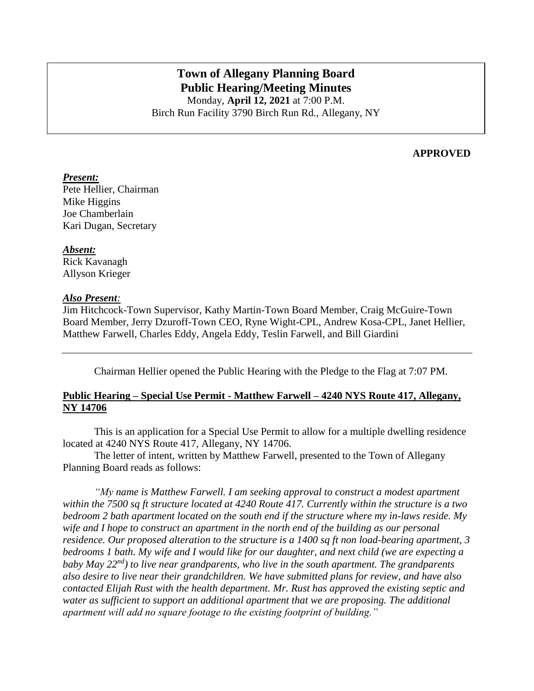# **Town of Allegany Planning Board Public Hearing/Meeting Minutes**

Monday, **April 12, 2021** at 7:00 P.M. Birch Run Facility 3790 Birch Run Rd., Allegany, NY

## **APPROVED**

#### *Present:*

Pete Hellier, Chairman Mike Higgins Joe Chamberlain Kari Dugan, Secretary

#### *Absent:*

Rick Kavanagh Allyson Krieger

#### *Also Present:*

Jim Hitchcock-Town Supervisor, Kathy Martin-Town Board Member, Craig McGuire-Town Board Member, Jerry Dzuroff-Town CEO, Ryne Wight-CPL, Andrew Kosa-CPL, Janet Hellier, Matthew Farwell, Charles Eddy, Angela Eddy, Teslin Farwell, and Bill Giardini

Chairman Hellier opened the Public Hearing with the Pledge to the Flag at 7:07 PM.

# **Public Hearing – Special Use Permit - Matthew Farwell – 4240 NYS Route 417, Allegany, NY 14706**

This is an application for a Special Use Permit to allow for a multiple dwelling residence located at 4240 NYS Route 417, Allegany, NY 14706.

The letter of intent, written by Matthew Farwell, presented to the Town of Allegany Planning Board reads as follows:

*"My name is Matthew Farwell. I am seeking approval to construct a modest apartment within the 7500 sq ft structure located at 4240 Route 417. Currently within the structure is a two bedroom 2 bath apartment located on the south end if the structure where my in-laws reside. My wife and I hope to construct an apartment in the north end of the building as our personal residence. Our proposed alteration to the structure is a 1400 sq ft non load-bearing apartment, 3 bedrooms 1 bath. My wife and I would like for our daughter, and next child (we are expecting a baby May 22nd) to live near grandparents, who live in the south apartment. The grandparents also desire to live near their grandchildren. We have submitted plans for review, and have also contacted Elijah Rust with the health department. Mr. Rust has approved the existing septic and water as sufficient to support an additional apartment that we are proposing. The additional apartment will add no square footage to the existing footprint of building."*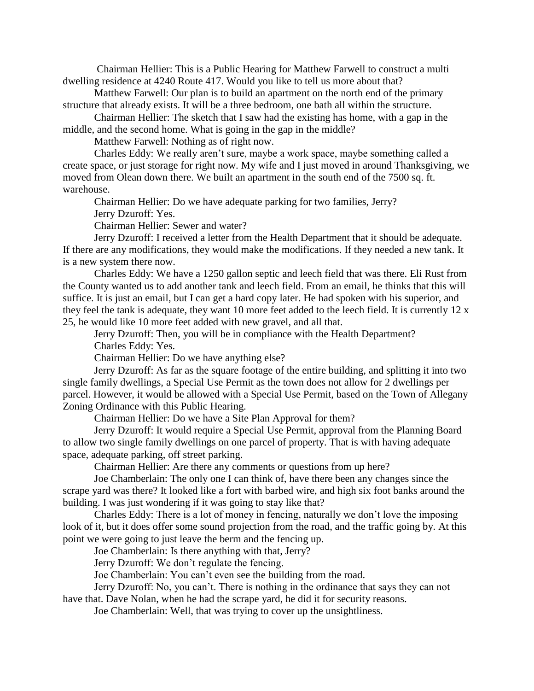Chairman Hellier: This is a Public Hearing for Matthew Farwell to construct a multi dwelling residence at 4240 Route 417. Would you like to tell us more about that?

Matthew Farwell: Our plan is to build an apartment on the north end of the primary structure that already exists. It will be a three bedroom, one bath all within the structure.

Chairman Hellier: The sketch that I saw had the existing has home, with a gap in the middle, and the second home. What is going in the gap in the middle?

Matthew Farwell: Nothing as of right now.

Charles Eddy: We really aren't sure, maybe a work space, maybe something called a create space, or just storage for right now. My wife and I just moved in around Thanksgiving, we moved from Olean down there. We built an apartment in the south end of the 7500 sq. ft. warehouse.

Chairman Hellier: Do we have adequate parking for two families, Jerry?

Jerry Dzuroff: Yes.

Chairman Hellier: Sewer and water?

Jerry Dzuroff: I received a letter from the Health Department that it should be adequate. If there are any modifications, they would make the modifications. If they needed a new tank. It is a new system there now.

Charles Eddy: We have a 1250 gallon septic and leech field that was there. Eli Rust from the County wanted us to add another tank and leech field. From an email, he thinks that this will suffice. It is just an email, but I can get a hard copy later. He had spoken with his superior, and they feel the tank is adequate, they want 10 more feet added to the leech field. It is currently 12 x 25, he would like 10 more feet added with new gravel, and all that.

Jerry Dzuroff: Then, you will be in compliance with the Health Department? Charles Eddy: Yes.

Chairman Hellier: Do we have anything else?

Jerry Dzuroff: As far as the square footage of the entire building, and splitting it into two single family dwellings, a Special Use Permit as the town does not allow for 2 dwellings per parcel. However, it would be allowed with a Special Use Permit, based on the Town of Allegany Zoning Ordinance with this Public Hearing.

Chairman Hellier: Do we have a Site Plan Approval for them?

Jerry Dzuroff: It would require a Special Use Permit, approval from the Planning Board to allow two single family dwellings on one parcel of property. That is with having adequate space, adequate parking, off street parking.

Chairman Hellier: Are there any comments or questions from up here?

Joe Chamberlain: The only one I can think of, have there been any changes since the scrape yard was there? It looked like a fort with barbed wire, and high six foot banks around the building. I was just wondering if it was going to stay like that?

Charles Eddy: There is a lot of money in fencing, naturally we don't love the imposing look of it, but it does offer some sound projection from the road, and the traffic going by. At this point we were going to just leave the berm and the fencing up.

Joe Chamberlain: Is there anything with that, Jerry?

Jerry Dzuroff: We don't regulate the fencing.

Joe Chamberlain: You can't even see the building from the road.

Jerry Dzuroff: No, you can't. There is nothing in the ordinance that says they can not

have that. Dave Nolan, when he had the scrape yard, he did it for security reasons.

Joe Chamberlain: Well, that was trying to cover up the unsightliness.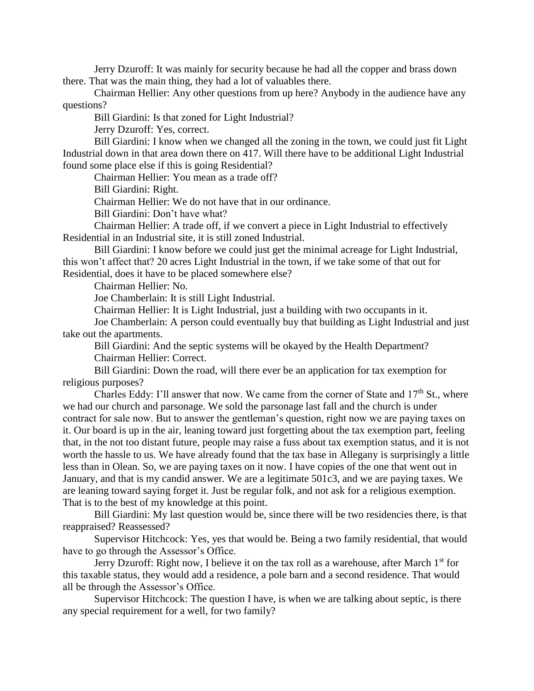Jerry Dzuroff: It was mainly for security because he had all the copper and brass down there. That was the main thing, they had a lot of valuables there.

Chairman Hellier: Any other questions from up here? Anybody in the audience have any questions?

Bill Giardini: Is that zoned for Light Industrial?

Jerry Dzuroff: Yes, correct.

Bill Giardini: I know when we changed all the zoning in the town, we could just fit Light Industrial down in that area down there on 417. Will there have to be additional Light Industrial found some place else if this is going Residential?

Chairman Hellier: You mean as a trade off?

Bill Giardini: Right.

Chairman Hellier: We do not have that in our ordinance.

Bill Giardini: Don't have what?

Chairman Hellier: A trade off, if we convert a piece in Light Industrial to effectively Residential in an Industrial site, it is still zoned Industrial.

Bill Giardini: I know before we could just get the minimal acreage for Light Industrial, this won't affect that? 20 acres Light Industrial in the town, if we take some of that out for Residential, does it have to be placed somewhere else?

Chairman Hellier: No.

Joe Chamberlain: It is still Light Industrial.

Chairman Hellier: It is Light Industrial, just a building with two occupants in it.

Joe Chamberlain: A person could eventually buy that building as Light Industrial and just take out the apartments.

Bill Giardini: And the septic systems will be okayed by the Health Department? Chairman Hellier: Correct.

Bill Giardini: Down the road, will there ever be an application for tax exemption for religious purposes?

Charles Eddy: I'll answer that now. We came from the corner of State and  $17<sup>th</sup>$  St., where we had our church and parsonage. We sold the parsonage last fall and the church is under contract for sale now. But to answer the gentleman's question, right now we are paying taxes on it. Our board is up in the air, leaning toward just forgetting about the tax exemption part, feeling that, in the not too distant future, people may raise a fuss about tax exemption status, and it is not worth the hassle to us. We have already found that the tax base in Allegany is surprisingly a little less than in Olean. So, we are paying taxes on it now. I have copies of the one that went out in January, and that is my candid answer. We are a legitimate 501c3, and we are paying taxes. We are leaning toward saying forget it. Just be regular folk, and not ask for a religious exemption. That is to the best of my knowledge at this point.

Bill Giardini: My last question would be, since there will be two residencies there, is that reappraised? Reassessed?

Supervisor Hitchcock: Yes, yes that would be. Being a two family residential, that would have to go through the Assessor's Office.

Jerry Dzuroff: Right now, I believe it on the tax roll as a warehouse, after March 1<sup>st</sup> for this taxable status, they would add a residence, a pole barn and a second residence. That would all be through the Assessor's Office.

Supervisor Hitchcock: The question I have, is when we are talking about septic, is there any special requirement for a well, for two family?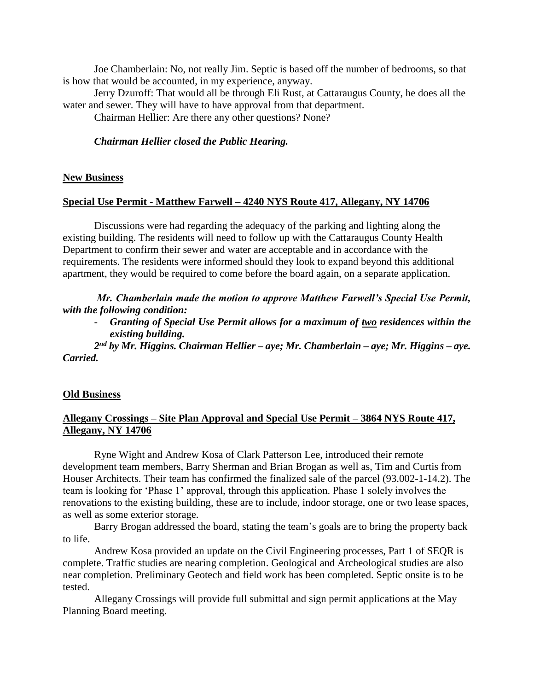Joe Chamberlain: No, not really Jim. Septic is based off the number of bedrooms, so that is how that would be accounted, in my experience, anyway.

Jerry Dzuroff: That would all be through Eli Rust, at Cattaraugus County, he does all the water and sewer. They will have to have approval from that department.

Chairman Hellier: Are there any other questions? None?

#### *Chairman Hellier closed the Public Hearing.*

#### **New Business**

#### **Special Use Permit - Matthew Farwell – 4240 NYS Route 417, Allegany, NY 14706**

Discussions were had regarding the adequacy of the parking and lighting along the existing building. The residents will need to follow up with the Cattaraugus County Health Department to confirm their sewer and water are acceptable and in accordance with the requirements. The residents were informed should they look to expand beyond this additional apartment, they would be required to come before the board again, on a separate application.

*Mr. Chamberlain made the motion to approve Matthew Farwell's Special Use Permit, with the following condition:*

- *Granting of Special Use Permit allows for a maximum of two residences within the existing building.*

*2 nd by Mr. Higgins. Chairman Hellier – aye; Mr. Chamberlain – aye; Mr. Higgins – aye. Carried.*

#### **Old Business**

### **Allegany Crossings – Site Plan Approval and Special Use Permit – 3864 NYS Route 417, Allegany, NY 14706**

Ryne Wight and Andrew Kosa of Clark Patterson Lee, introduced their remote development team members, Barry Sherman and Brian Brogan as well as, Tim and Curtis from Houser Architects. Their team has confirmed the finalized sale of the parcel (93.002-1-14.2). The team is looking for 'Phase 1' approval, through this application. Phase 1 solely involves the renovations to the existing building, these are to include, indoor storage, one or two lease spaces, as well as some exterior storage.

Barry Brogan addressed the board, stating the team's goals are to bring the property back to life.

Andrew Kosa provided an update on the Civil Engineering processes, Part 1 of SEQR is complete. Traffic studies are nearing completion. Geological and Archeological studies are also near completion. Preliminary Geotech and field work has been completed. Septic onsite is to be tested.

Allegany Crossings will provide full submittal and sign permit applications at the May Planning Board meeting.